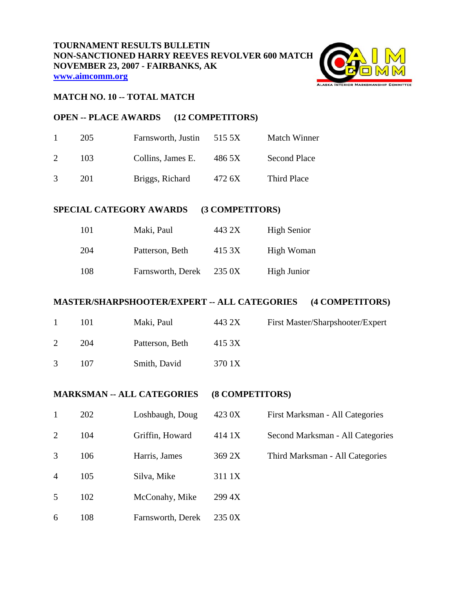

#### **MATCH NO. 10 -- TOTAL MATCH**

## **OPEN -- PLACE AWARDS (12 COMPETITORS)**

| $\mathbf{1}$  | 205  | Farnsworth, Justin | 515.5X | Match Winner        |
|---------------|------|--------------------|--------|---------------------|
| $\mathcal{D}$ | 103. | Collins, James E.  | 486 5X | <b>Second Place</b> |
| $\mathcal{R}$ | 201  | Briggs, Richard    | 472 6X | Third Place         |

# **SPECIAL CATEGORY AWARDS (3 COMPETITORS)**

| 101 | Maki, Paul        | 443 2X | <b>High Senior</b> |
|-----|-------------------|--------|--------------------|
| 204 | Patterson, Beth   | 415 3X | High Woman         |
| 108 | Farnsworth, Derek | 235 0X | High Junior        |

#### **MASTER/SHARPSHOOTER/EXPERT -- ALL CATEGORIES (4 COMPETITORS)**

| -1 | 101 | Maki, Paul      | 443 2X | First Master/Sharpshooter/Expert |
|----|-----|-----------------|--------|----------------------------------|
| 2  | 204 | Patterson, Beth | 415 3X |                                  |
| 3  | 107 | Smith, David    | 370 1X |                                  |

## **MARKSMAN -- ALL CATEGORIES (8 COMPETITORS)**

|                | 202 | Loshbaugh, Doug   | 423 0X | First Marksman - All Categories  |
|----------------|-----|-------------------|--------|----------------------------------|
| 2              | 104 | Griffin, Howard   | 414 1X | Second Marksman - All Categories |
| 3              | 106 | Harris, James     | 369 2X | Third Marksman - All Categories  |
| $\overline{4}$ | 105 | Silva, Mike       | 311 1X |                                  |
| 5              | 102 | McConahy, Mike    | 299 4X |                                  |
| 6              | 108 | Farnsworth, Derek | 235 0X |                                  |